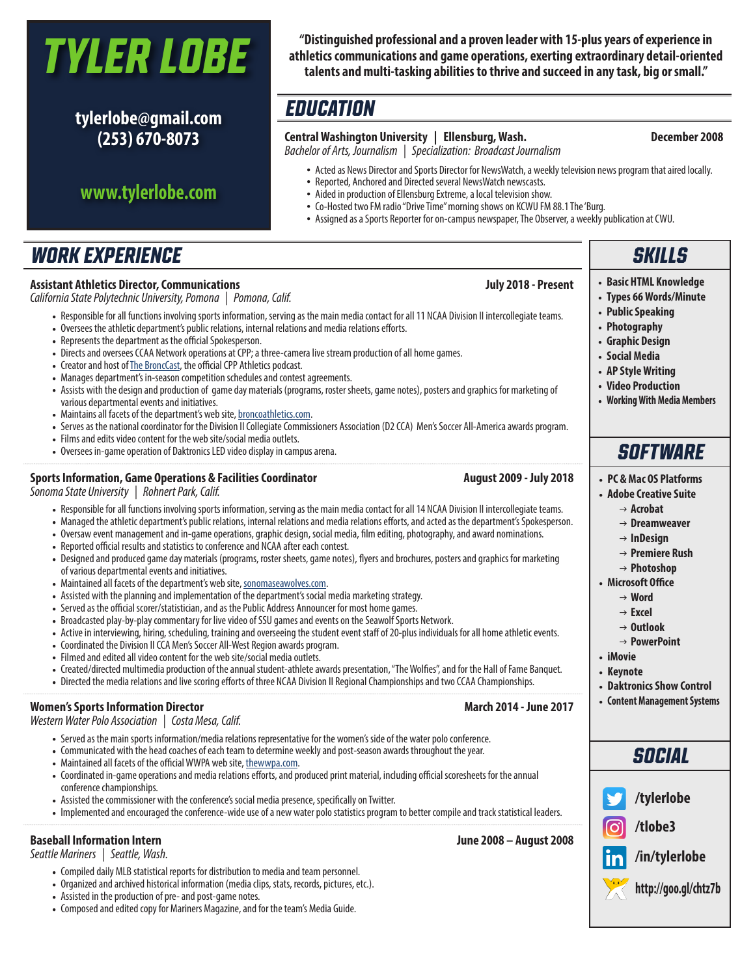# *Tyler Lobe*

**tylerlobe@gmail.com (253) 670-8073**

### **www.tylerlobe.com**

**"Distinguished professional and a proven leader with 15-plus years of experience in athletics communications and game operations, exerting extraordinary detail-oriented talents and multi-tasking abilities to thrive and succeed in any task, big or small."**

### *EDUCATION*

### **Central Washington University | Ellensburg, Wash. December 2008**

#### *Bachelor of Arts, Journalism | Specialization: Broadcast Journalism*

- Acted as News Director and Sports Director for NewsWatch, a weekly television news program that aired locally.<br>• Reported. Anchored and Directed several NewsWatch newscasts.
- Reported, Anchored and Directed several NewsWatch newscasts.
- Aided in production of Ellensburg Extreme, a local television show.
- Co-Hosted two FM radio "Drive Time" morning shows on KCWU FM 88.1 The 'Burg.
- Assigned as a Sports Reporter for on-campus newspaper, The Observer, a weekly publication at CWU.

### *WORK EXPERIENCE*

#### **Assistant Athletics Director, Communications July 2018 - Present**

*California State Polytechnic University, Pomona | Pomona, Calif.*

- Responsible for all functions involving sports information, serving as the main media contact for all 11 NCAA Division II intercollegiate teams.
- Oversees the athletic department's public relations, internal relations and media relations efforts.
- Represents the department as the official Spokesperson.
- Directs and oversees CCAA Network operations at CPP; a three-camera live stream production of all home games.
- Creator and host of The BroncCast, the official CPP Athletics podcast.
- Manages department's in-season competition schedules and contest agreements.
- Assists with the design and production of game day materials (programs, roster sheets, game notes), posters and graphics for marketing of various departmental events and initiatives.
- Maintains all facets of the department's web site, broncoathletics.com.
- Serves as the national coordinator for the Division II Collegiate Commissioners Association (D2 CCA) Men's Soccer All-America awards program.
- Films and edits video content for the web site/social media outlets.
- Oversees in-game operation of Daktronics LED video display in campus arena.

#### **Sports Information, Game Operations & Facilities Coordinator August 2009 - July 2018**

*Sonoma State University | Rohnert Park, Calif.*

- Responsible for all functions involving sports information, serving as the main media contact for all 14 NCAA Division II intercollegiate teams.
- Managed the athletic department's public relations, internal relations and media relations efforts, and acted as the department's Spokesperson.
	- Oversaw event management and in-game operations, graphic design, social media, film editing, photography, and award nominations.
	- Reported official results and statistics to conference and NCAA after each contest.
	- Designed and produced game day materials (programs, roster sheets, game notes), flyers and brochures, posters and graphics for marketing of various departmental events and initiatives.
	- Maintained all facets of the department's web site, sonomaseawolves.com.
	- Assisted with the planning and implementation of the department's social media marketing strategy.
	- Served as the official scorer/statistician, and as the Public Address Announcer for most home games.
	- Broadcasted play-by-play commentary for live video of SSU games and events on the Seawolf Sports Network.
	- Active in interviewing, hiring, scheduling, training and overseeing the student event staff of 20-plus individuals for all home athletic events.
	- Coordinated the Division II CCA Men's Soccer All-West Region awards program.
	- Filmed and edited all video content for the web site/social media outlets.
	- Created/directed multimedia production of the annual student-athlete awards presentation, "The Wolfies", and for the Hall of Fame Banquet.
	- Directed the media relations and live scoring efforts of three NCAA Division II Regional Championships and two CCAA Championships.

#### **Women's Sports Information Director March 2014 - June 2017**

*Western Water Polo Association | Costa Mesa, Calif.*

- Served as the main sports information/media relations representative for the women's side of the water polo conference.
- Communicated with the head coaches of each team to determine weekly and post-season awards throughout the year.
- Maintained all facets of the official WWPA web site, thewwpa.com.
- Coordinated in-game operations and media relations efforts, and produced print material, including official scoresheets for the annual conference championships.
- Assisted the commissioner with the conference's social media presence, specifically on Twitter.
- Implemented and encouraged the conference-wide use of a new water polo statistics program to better compile and track statistical leaders.

#### **Baseball Information Intern June 2008 – August 2008**

*Seattle Mariners | Seattle, Wash.*

- Compiled daily MLB statistical reports for distribution to media and team personnel.
- Organized and archived historical information (media clips, stats, records, pictures, etc.).
- Assisted in the production of pre- and post-game notes.
- Composed and edited copy for Mariners Magazine, and for the team's Media Guide.

## *SKILLS*

- **Basic HTML Knowledge**
- **Types 66 Words/Minute**
- **Public Speaking**
- **Photography**
- **Graphic Design**
- **Social Media**
- **AP Style Writing**
- **Video Production**
- **Working With Media Members**

### *SOFTWARE*

- **PC & Mac OS Platforms**
- **Adobe Creative Suite**
	- $\rightarrow$  Acrobat
	- → Dreamweaver
	- → **InDesign**
	- g **Premiere Rush**
	- g **Photoshop**
- **Microsoft Office**
	- g **Word**
	- → **Excel**
	- g **Outlook**
	- g **PowerPoint**
- **iMovie**
- **Keynote**
- **Daktronics Show Control**
- **Content Management Systems**